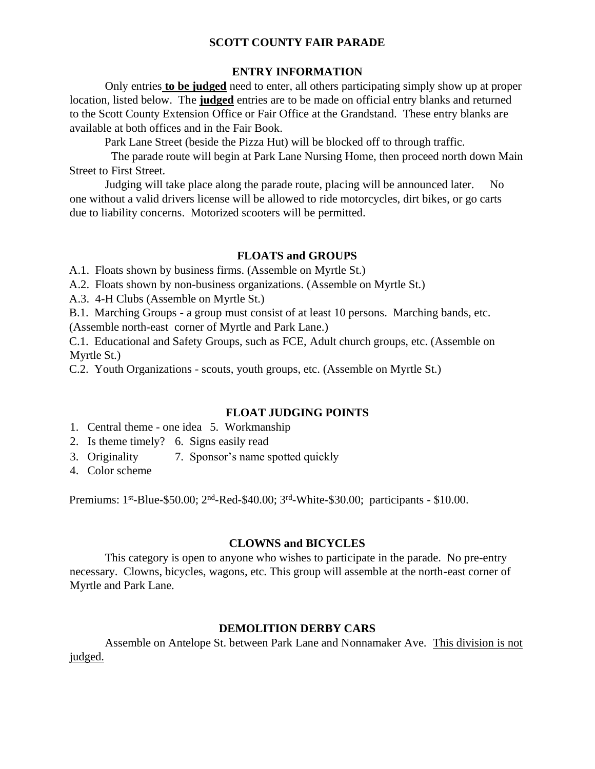### **SCOTT COUNTY FAIR PARADE**

### **ENTRY INFORMATION**

Only entries **to be judged** need to enter, all others participating simply show up at proper location, listed below. The **judged** entries are to be made on official entry blanks and returned to the Scott County Extension Office or Fair Office at the Grandstand. These entry blanks are available at both offices and in the Fair Book.

Park Lane Street (beside the Pizza Hut) will be blocked off to through traffic.

The parade route will begin at Park Lane Nursing Home, then proceed north down Main Street to First Street.

Judging will take place along the parade route, placing will be announced later. No one without a valid drivers license will be allowed to ride motorcycles, dirt bikes, or go carts due to liability concerns. Motorized scooters will be permitted.

### **FLOATS and GROUPS**

A.1. Floats shown by business firms. (Assemble on Myrtle St.)

- A.2. Floats shown by non-business organizations. (Assemble on Myrtle St.)
- A.3. 4-H Clubs (Assemble on Myrtle St.)

B.1. Marching Groups - a group must consist of at least 10 persons. Marching bands, etc. (Assemble north-east corner of Myrtle and Park Lane.)

C.1. Educational and Safety Groups, such as FCE, Adult church groups, etc. (Assemble on Myrtle St.)

C.2. Youth Organizations - scouts, youth groups, etc. (Assemble on Myrtle St.)

### **FLOAT JUDGING POINTS**

- 1. Central theme one idea 5. Workmanship
- 2. Is theme timely? 6. Signs easily read
- 3. Originality 7. Sponsor's name spotted quickly
- 4. Color scheme

Premiums: 1<sup>st</sup>-Blue-\$50.00; 2<sup>nd</sup>-Red-\$40.00; 3<sup>rd</sup>-White-\$30.00; participants - \$10.00.

### **CLOWNS and BICYCLES**

This category is open to anyone who wishes to participate in the parade. No pre-entry necessary. Clowns, bicycles, wagons, etc. This group will assemble at the north-east corner of Myrtle and Park Lane.

### **DEMOLITION DERBY CARS**

Assemble on Antelope St. between Park Lane and Nonnamaker Ave. This division is not judged.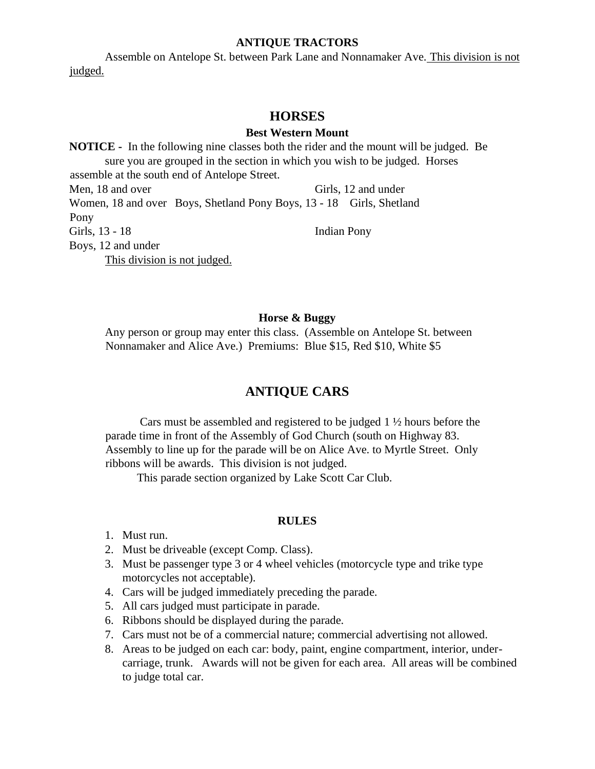### **ANTIQUE TRACTORS**

Assemble on Antelope St. between Park Lane and Nonnamaker Ave. This division is not judged.

### **HORSES**

### **Best Western Mount**

**NOTICE -** In the following nine classes both the rider and the mount will be judged. Be sure you are grouped in the section in which you wish to be judged. Horses assemble at the south end of Antelope Street. Men, 18 and over Girls, 12 and under Women, 18 and over Boys, Shetland Pony Boys, 13 - 18 Girls, Shetland Pony Girls, 13 - 18 Indian Pony Boys, 12 and under This division is not judged.

### **Horse & Buggy**

Any person or group may enter this class. (Assemble on Antelope St. between Nonnamaker and Alice Ave.) Premiums: Blue \$15, Red \$10, White \$5

## **ANTIQUE CARS**

Cars must be assembled and registered to be judged 1 ½ hours before the parade time in front of the Assembly of God Church (south on Highway 83. Assembly to line up for the parade will be on Alice Ave. to Myrtle Street. Only ribbons will be awards. This division is not judged.

This parade section organized by Lake Scott Car Club.

#### **RULES**

- 1. Must run.
- 2. Must be driveable (except Comp. Class).
- 3. Must be passenger type 3 or 4 wheel vehicles (motorcycle type and trike type motorcycles not acceptable).
- 4. Cars will be judged immediately preceding the parade.
- 5. All cars judged must participate in parade.
- 6. Ribbons should be displayed during the parade.
- 7. Cars must not be of a commercial nature; commercial advertising not allowed.
- 8. Areas to be judged on each car: body, paint, engine compartment, interior, undercarriage, trunk. Awards will not be given for each area. All areas will be combined to judge total car.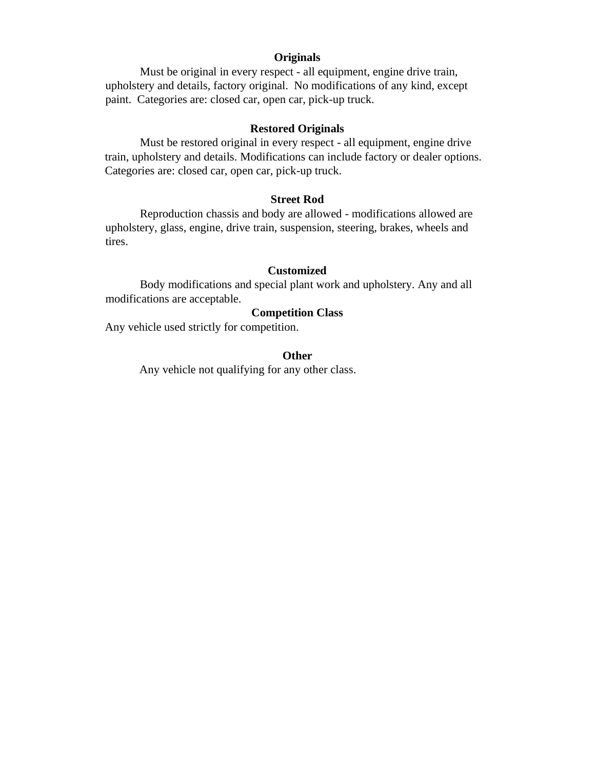### **Originals**

Must be original in every respect - all equipment, engine drive train, upholstery and details, factory original. No modifications of any kind, except paint. Categories are: closed car, open car, pick-up truck.

### **Restored Originals**

Must be restored original in every respect - all equipment, engine drive train, upholstery and details. Modifications can include factory or dealer options. Categories are: closed car, open car, pick-up truck.

### **Street Rod**

Reproduction chassis and body are allowed - modifications allowed are upholstery, glass, engine, drive train, suspension, steering, brakes, wheels and tires.

### **Customized**

Body modifications and special plant work and upholstery. Any and all modifications are acceptable.

### **Competition Class**

Any vehicle used strictly for competition.

### **Other**

Any vehicle not qualifying for any other class.